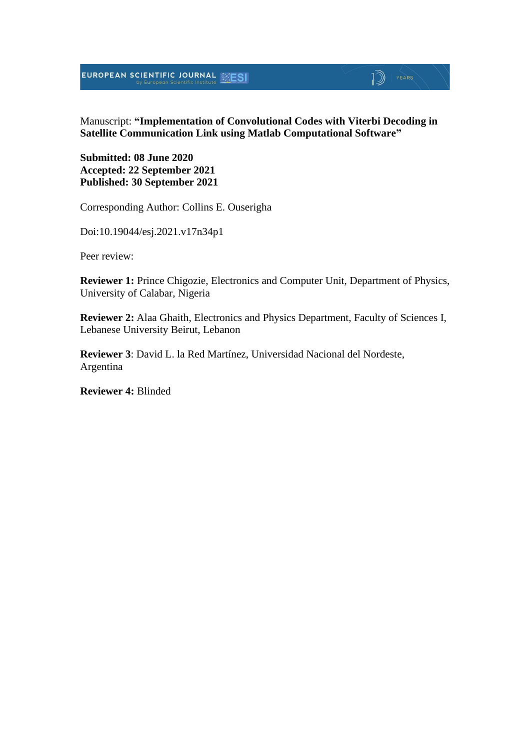## $\mathbb{D}$   $\mathbb{P}$   $\mathbb{P}$   $\mathbb{P}$   $\mathbb{P}$   $\mathbb{P}$   $\mathbb{P}$   $\mathbb{P}$   $\mathbb{P}$   $\mathbb{P}$   $\mathbb{P}$   $\mathbb{P}$   $\mathbb{P}$   $\mathbb{P}$   $\mathbb{P}$   $\mathbb{P}$   $\mathbb{P}$   $\mathbb{P}$   $\mathbb{P}$   $\mathbb{P}$   $\mathbb{P}$   $\mathbb{P}$   $\mathbb{P}$   $\mathbb{P}$   $\mathbb{$

#### Manuscript: **"Implementation of Convolutional Codes with Viterbi Decoding in Satellite Communication Link using Matlab Computational Software"**

**Submitted: 08 June 2020 Accepted: 22 September 2021 Published: 30 September 2021**

Corresponding Author: Collins E. Ouserigha

Doi:10.19044/esj.2021.v17n34p1

Peer review:

**Reviewer 1:** Prince Chigozie, Electronics and Computer Unit, Department of Physics, University of Calabar, Nigeria

**Reviewer 2:** Alaa Ghaith, Electronics and Physics Department, Faculty of Sciences I, Lebanese University Beirut, Lebanon

**Reviewer 3**: David L. la Red Martínez, Universidad Nacional del Nordeste, Argentina

**Reviewer 4:** Blinded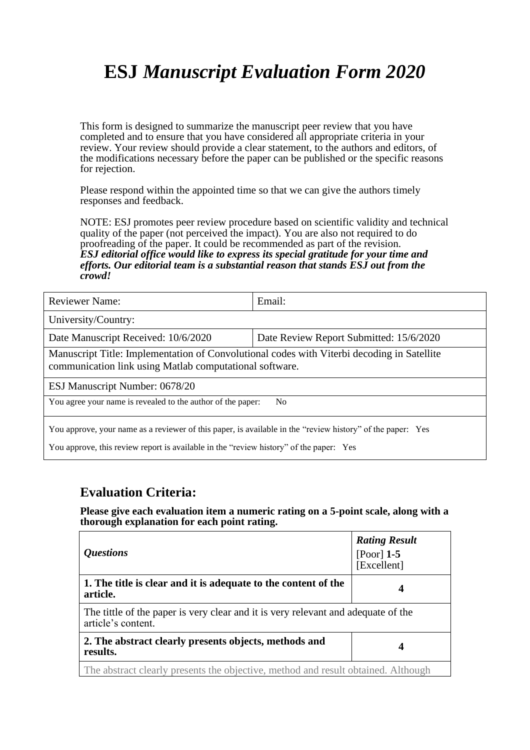# **ESJ** *Manuscript Evaluation Form 2020*

This form is designed to summarize the manuscript peer review that you have completed and to ensure that you have considered all appropriate criteria in your review. Your review should provide a clear statement, to the authors and editors, of the modifications necessary before the paper can be published or the specific reasons for rejection.

Please respond within the appointed time so that we can give the authors timely responses and feedback.

NOTE: ESJ promotes peer review procedure based on scientific validity and technical quality of the paper (not perceived the impact). You are also not required to do proofreading of the paper. It could be recommended as part of the revision. *ESJ editorial office would like to express its special gratitude for your time and efforts. Our editorial team is a substantial reason that stands ESJ out from the crowd!* 

| <b>Reviewer Name:</b>                                                                                                                                 | Email:                                  |  |
|-------------------------------------------------------------------------------------------------------------------------------------------------------|-----------------------------------------|--|
| University/Country:                                                                                                                                   |                                         |  |
| Date Manuscript Received: 10/6/2020                                                                                                                   | Date Review Report Submitted: 15/6/2020 |  |
| Manuscript Title: Implementation of Convolutional codes with Viterbi decoding in Satellite<br>communication link using Matlab computational software. |                                         |  |
| ESJ Manuscript Number: 0678/20                                                                                                                        |                                         |  |
| You agree your name is revealed to the author of the paper:<br>N <sub>0</sub>                                                                         |                                         |  |
| You approve, your name as a reviewer of this paper, is available in the "review history" of the paper: Yes                                            |                                         |  |

You approve, this review report is available in the "review history" of the paper: Yes

#### **Evaluation Criteria:**

**Please give each evaluation item a numeric rating on a 5-point scale, along with a thorough explanation for each point rating.**

| <i><b>Questions</b></i>                                                                                 | <b>Rating Result</b><br>[Poor] $1-5$<br>[Excellent] |
|---------------------------------------------------------------------------------------------------------|-----------------------------------------------------|
| 1. The title is clear and it is adequate to the content of the<br>article.                              | 4                                                   |
| The tittle of the paper is very clear and it is very relevant and adequate of the<br>article's content. |                                                     |
| 2. The abstract clearly presents objects, methods and<br>results.                                       | 4                                                   |
| The abstract clearly presents the objective, method and result obtained. Although                       |                                                     |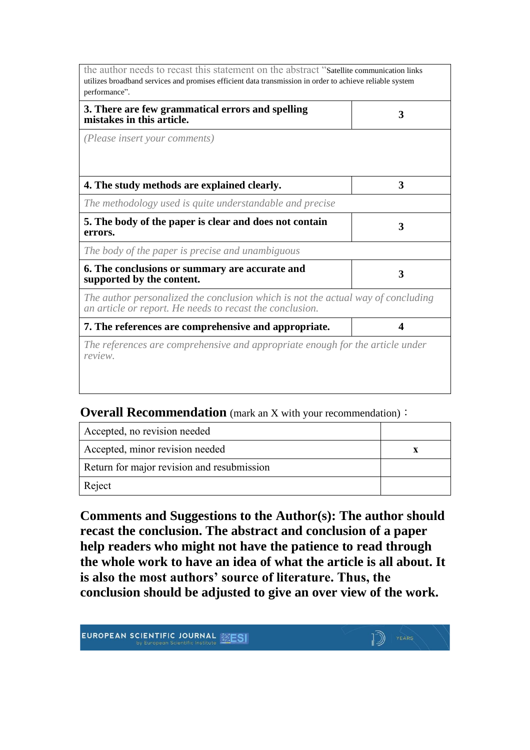| the author needs to recast this statement on the abstract "Satellite communication links<br>utilizes broadband services and promises efficient data transmission in order to achieve reliable system<br>performance". |   |
|-----------------------------------------------------------------------------------------------------------------------------------------------------------------------------------------------------------------------|---|
| 3. There are few grammatical errors and spelling<br>mistakes in this article.                                                                                                                                         | 3 |
| (Please insert your comments)                                                                                                                                                                                         |   |
| 4. The study methods are explained clearly.                                                                                                                                                                           | 3 |
| The methodology used is quite understandable and precise                                                                                                                                                              |   |
| 5. The body of the paper is clear and does not contain<br>errors.                                                                                                                                                     | 3 |
| The body of the paper is precise and unambiguous                                                                                                                                                                      |   |
| 6. The conclusions or summary are accurate and<br>supported by the content.                                                                                                                                           | 3 |
| The author personalized the conclusion which is not the actual way of concluding<br>an article or report. He needs to recast the conclusion.                                                                          |   |
| 7. The references are comprehensive and appropriate.                                                                                                                                                                  | 4 |
| The references are comprehensive and appropriate enough for the article under<br>review.                                                                                                                              |   |

**Overall Recommendation** (mark an X with your recommendation):

| Accepted, no revision needed               |  |
|--------------------------------------------|--|
| Accepted, minor revision needed            |  |
| Return for major revision and resubmission |  |
| Reject                                     |  |

**Comments and Suggestions to the Author(s): The author should recast the conclusion. The abstract and conclusion of a paper help readers who might not have the patience to read through the whole work to have an idea of what the article is all about. It is also the most authors' source of literature. Thus, the conclusion should be adjusted to give an over view of the work.**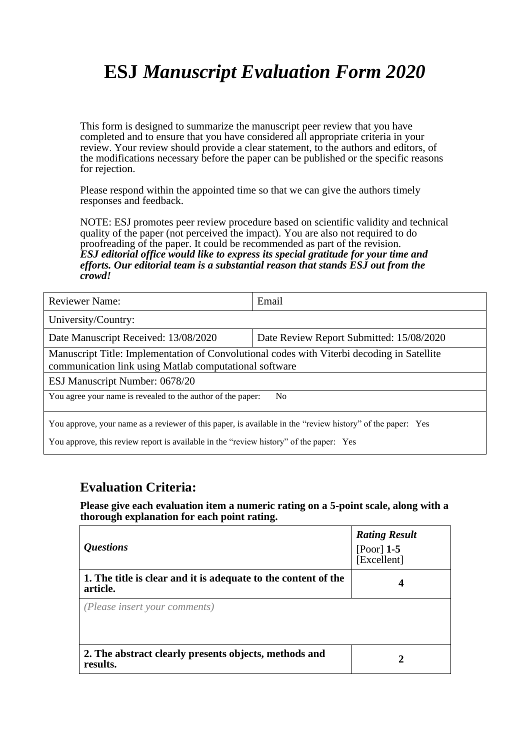# **ESJ** *Manuscript Evaluation Form 2020*

This form is designed to summarize the manuscript peer review that you have completed and to ensure that you have considered all appropriate criteria in your review. Your review should provide a clear statement, to the authors and editors, of the modifications necessary before the paper can be published or the specific reasons for rejection.

Please respond within the appointed time so that we can give the authors timely responses and feedback.

NOTE: ESJ promotes peer review procedure based on scientific validity and technical quality of the paper (not perceived the impact). You are also not required to do proofreading of the paper. It could be recommended as part of the revision. *ESJ editorial office would like to express its special gratitude for your time and efforts. Our editorial team is a substantial reason that stands ESJ out from the crowd!* 

| <b>Reviewer Name:</b>                                                                                                                                                                                | Email                                    |  |
|------------------------------------------------------------------------------------------------------------------------------------------------------------------------------------------------------|------------------------------------------|--|
| University/Country:                                                                                                                                                                                  |                                          |  |
| Date Manuscript Received: 13/08/2020                                                                                                                                                                 | Date Review Report Submitted: 15/08/2020 |  |
| Manuscript Title: Implementation of Convolutional codes with Viterbi decoding in Satellite<br>communication link using Matlab computational software                                                 |                                          |  |
| ESJ Manuscript Number: 0678/20                                                                                                                                                                       |                                          |  |
| You agree your name is revealed to the author of the paper:<br>N <sub>0</sub>                                                                                                                        |                                          |  |
| You approve, your name as a reviewer of this paper, is available in the "review history" of the paper: Yes<br>You approve, this review report is available in the "review history" of the paper: Yes |                                          |  |

#### **Evaluation Criteria:**

**Please give each evaluation item a numeric rating on a 5-point scale, along with a thorough explanation for each point rating.**

| <i><b>Questions</b></i>                                                    | <b>Rating Result</b><br>[Poor] $1-5$<br>[Excellent] |
|----------------------------------------------------------------------------|-----------------------------------------------------|
| 1. The title is clear and it is adequate to the content of the<br>article. | 4                                                   |
| (Please insert your comments)                                              |                                                     |
| 2. The abstract clearly presents objects, methods and<br>results.          | 7.                                                  |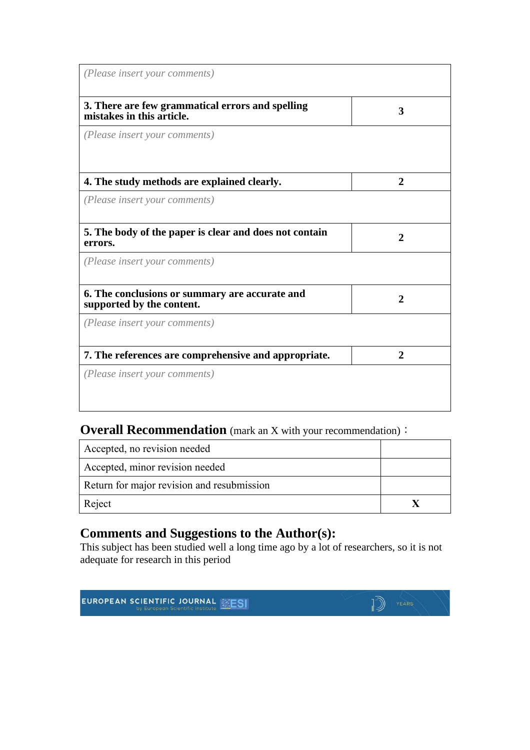| (Please insert your comments)                                                 |              |
|-------------------------------------------------------------------------------|--------------|
| 3. There are few grammatical errors and spelling<br>mistakes in this article. | 3            |
| (Please insert your comments)                                                 |              |
| 4. The study methods are explained clearly.                                   | $\mathbf{2}$ |
| (Please insert your comments)                                                 |              |
| 5. The body of the paper is clear and does not contain<br>errors.             | 2            |
| (Please insert your comments)                                                 |              |
| 6. The conclusions or summary are accurate and<br>supported by the content.   | 2            |
| (Please insert your comments)                                                 |              |
| 7. The references are comprehensive and appropriate.                          | $\mathbf{2}$ |
| (Please insert your comments)                                                 |              |

## **Overall Recommendation** (mark an X with your recommendation):

| Accepted, no revision needed               |  |
|--------------------------------------------|--|
| Accepted, minor revision needed            |  |
| Return for major revision and resubmission |  |
| Reject                                     |  |

### **Comments and Suggestions to the Author(s):**

This subject has been studied well a long time ago by a lot of researchers, so it is not adequate for research in this period

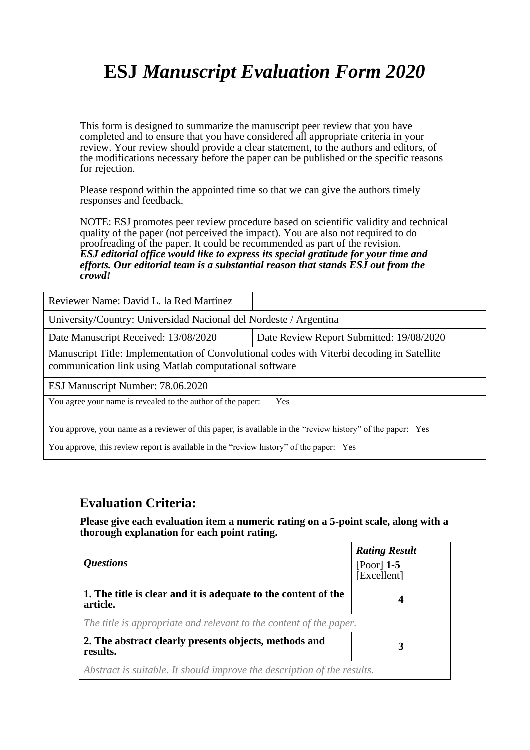# **ESJ** *Manuscript Evaluation Form 2020*

This form is designed to summarize the manuscript peer review that you have completed and to ensure that you have considered all appropriate criteria in your review. Your review should provide a clear statement, to the authors and editors, of the modifications necessary before the paper can be published or the specific reasons for rejection.

Please respond within the appointed time so that we can give the authors timely responses and feedback.

NOTE: ESJ promotes peer review procedure based on scientific validity and technical quality of the paper (not perceived the impact). You are also not required to do proofreading of the paper. It could be recommended as part of the revision. *ESJ editorial office would like to express its special gratitude for your time and efforts. Our editorial team is a substantial reason that stands ESJ out from the crowd!* 

| Reviewer Name: David L. la Red Martínez                                                                                                                                                              |                                          |  |
|------------------------------------------------------------------------------------------------------------------------------------------------------------------------------------------------------|------------------------------------------|--|
| University/Country: Universidad Nacional del Nordeste / Argentina                                                                                                                                    |                                          |  |
| Date Manuscript Received: 13/08/2020                                                                                                                                                                 | Date Review Report Submitted: 19/08/2020 |  |
| Manuscript Title: Implementation of Convolutional codes with Viterbi decoding in Satellite<br>communication link using Matlab computational software                                                 |                                          |  |
| ESJ Manuscript Number: 78.06.2020                                                                                                                                                                    |                                          |  |
| You agree your name is revealed to the author of the paper:                                                                                                                                          | <b>Yes</b>                               |  |
| You approve, your name as a reviewer of this paper, is available in the "review history" of the paper: Yes<br>You approve, this review report is available in the "review history" of the paper: Yes |                                          |  |

#### **Evaluation Criteria:**

**Please give each evaluation item a numeric rating on a 5-point scale, along with a thorough explanation for each point rating.**

| <i><b>Questions</b></i>                                                    | <b>Rating Result</b><br>[Poor] $1-5$<br>[Excellent] |  |
|----------------------------------------------------------------------------|-----------------------------------------------------|--|
| 1. The title is clear and it is adequate to the content of the<br>article. | 4                                                   |  |
| The title is appropriate and relevant to the content of the paper.         |                                                     |  |
| 2. The abstract clearly presents objects, methods and<br>results.          | 3                                                   |  |
| Abstract is suitable. It should improve the description of the results.    |                                                     |  |